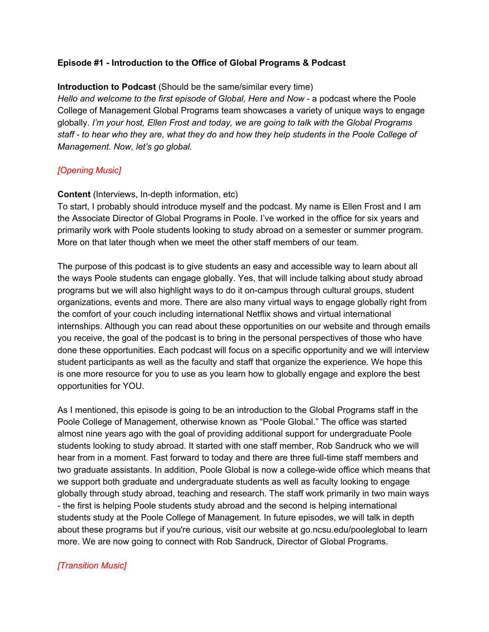# **Episode #1 - Introduction to the Office of Global Programs & Podcast**

### **Introduction to Podcast** (Should be the same/similar every time)

*Hello and welcome to the first episode of Global, Here and Now* - a podcast where the Poole College of Management Global Programs team showcases a variety of unique ways to engage globally. *I'm your host, Ellen Frost and today, we are going to talk with the Global Programs* staff - to hear who they are, what they do and how they help students in the Poole College of *Management. Now, let's go global.*

# *[Opening Music]*

### **Content** (Interviews, In-depth information, etc)

To start, I probably should introduce myself and the podcast. My name is Ellen Frost and I am the Associate Director of Global Programs in Poole. I've worked in the office for six years and primarily work with Poole students looking to study abroad on a semester or summer program. More on that later though when we meet the other staff members of our team.

The purpose of this podcast is to give students an easy and accessible way to learn about all the ways Poole students can engage globally. Yes, that will include talking about study abroad programs but we will also highlight ways to do it on-campus through cultural groups, student organizations, events and more. There are also many virtual ways to engage globally right from the comfort of your couch including international Netflix shows and virtual international internships. Although you can read about these opportunities on our website and through emails you receive, the goal of the podcast is to bring in the personal perspectives of those who have done these opportunities. Each podcast will focus on a specific opportunity and we will interview student participants as well as the faculty and staff that organize the experience. We hope this is one more resource for you to use as you learn how to globally engage and explore the best opportunities for YOU.

As I mentioned, this episode is going to be an introduction to the Global Programs staff in the Poole College of Management, otherwise known as "Poole Global." The office was started almost nine years ago with the goal of providing additional support for undergraduate Poole students looking to study abroad. It started with one staff member, Rob Sandruck who we will hear from in a moment. Fast forward to today and there are three full-time staff members and two graduate assistants. In addition, Poole Global is now a college-wide office which means that we support both graduate and undergraduate students as well as faculty looking to engage globally through study abroad, teaching and research. The staff work primarily in two main ways - the first is helping Poole students study abroad and the second is helping international students study at the Poole College of Management. In future episodes, we will talk in depth about these programs but if you're curious, visit our website at go.ncsu.edu/pooleglobal to learn more. We are now going to connect with Rob Sandruck, Director of Global Programs.

### *[Transition Music]*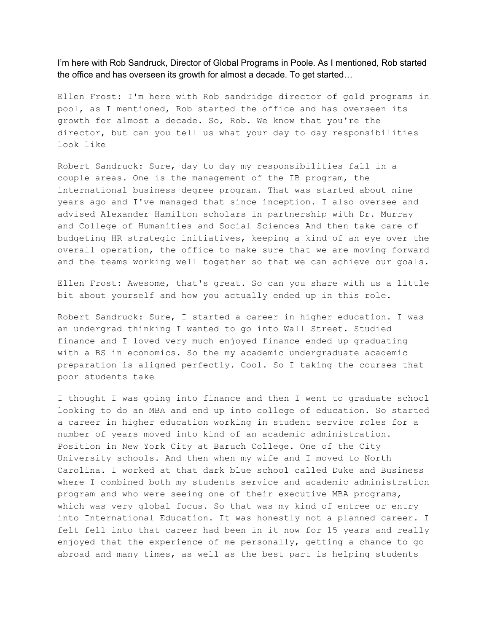I'm here with Rob Sandruck, Director of Global Programs in Poole. As I mentioned, Rob started the office and has overseen its growth for almost a decade. To get started…

Ellen Frost: I'm here with Rob sandridge director of gold programs in pool, as I mentioned, Rob started the office and has overseen its growth for almost a decade. So, Rob. We know that you're the director, but can you tell us what your day to day responsibilities look like

Robert Sandruck: Sure, day to day my responsibilities fall in a couple areas. One is the management of the IB program, the international business degree program. That was started about nine years ago and I've managed that since inception. I also oversee and advised Alexander Hamilton scholars in partnership with Dr. Murray and College of Humanities and Social Sciences And then take care of budgeting HR strategic initiatives, keeping a kind of an eye over the overall operation, the office to make sure that we are moving forward and the teams working well together so that we can achieve our goals.

Ellen Frost: Awesome, that's great. So can you share with us a little bit about yourself and how you actually ended up in this role.

Robert Sandruck: Sure, I started a career in higher education. I was an undergrad thinking I wanted to go into Wall Street. Studied finance and I loved very much enjoyed finance ended up graduating with a BS in economics. So the my academic undergraduate academic preparation is aligned perfectly. Cool. So I taking the courses that poor students take

I thought I was going into finance and then I went to graduate school looking to do an MBA and end up into college of education. So started a career in higher education working in student service roles for a number of years moved into kind of an academic administration. Position in New York City at Baruch College. One of the City University schools. And then when my wife and I moved to North Carolina. I worked at that dark blue school called Duke and Business where I combined both my students service and academic administration program and who were seeing one of their executive MBA programs, which was very global focus. So that was my kind of entree or entry into International Education. It was honestly not a planned career. I felt fell into that career had been in it now for 15 years and really enjoyed that the experience of me personally, getting a chance to go abroad and many times, as well as the best part is helping students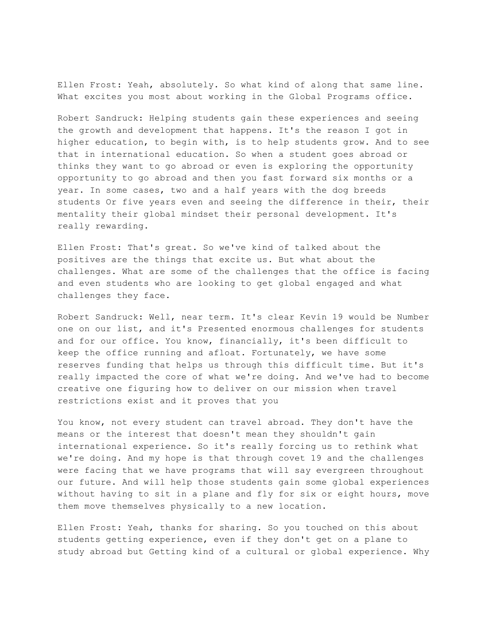Ellen Frost: Yeah, absolutely. So what kind of along that same line. What excites you most about working in the Global Programs office.

Robert Sandruck: Helping students gain these experiences and seeing the growth and development that happens. It's the reason I got in higher education, to begin with, is to help students grow. And to see that in international education. So when a student goes abroad or thinks they want to go abroad or even is exploring the opportunity opportunity to go abroad and then you fast forward six months or a year. In some cases, two and a half years with the dog breeds students Or five years even and seeing the difference in their, their mentality their global mindset their personal development. It's really rewarding.

Ellen Frost: That's great. So we've kind of talked about the positives are the things that excite us. But what about the challenges. What are some of the challenges that the office is facing and even students who are looking to get global engaged and what challenges they face.

Robert Sandruck: Well, near term. It's clear Kevin 19 would be Number one on our list, and it's Presented enormous challenges for students and for our office. You know, financially, it's been difficult to keep the office running and afloat. Fortunately, we have some reserves funding that helps us through this difficult time. But it's really impacted the core of what we're doing. And we've had to become creative one figuring how to deliver on our mission when travel restrictions exist and it proves that you

You know, not every student can travel abroad. They don't have the means or the interest that doesn't mean they shouldn't gain international experience. So it's really forcing us to rethink what we're doing. And my hope is that through covet 19 and the challenges were facing that we have programs that will say evergreen throughout our future. And will help those students gain some global experiences without having to sit in a plane and fly for six or eight hours, move them move themselves physically to a new location.

Ellen Frost: Yeah, thanks for sharing. So you touched on this about students getting experience, even if they don't get on a plane to study abroad but Getting kind of a cultural or global experience. Why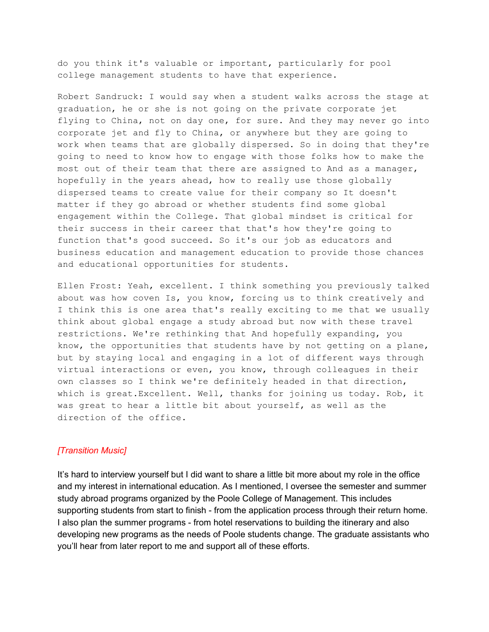do you think it's valuable or important, particularly for pool college management students to have that experience.

Robert Sandruck: I would say when a student walks across the stage at graduation, he or she is not going on the private corporate jet flying to China, not on day one, for sure. And they may never go into corporate jet and fly to China, or anywhere but they are going to work when teams that are globally dispersed. So in doing that they're going to need to know how to engage with those folks how to make the most out of their team that there are assigned to And as a manager, hopefully in the years ahead, how to really use those globally dispersed teams to create value for their company so It doesn't matter if they go abroad or whether students find some global engagement within the College. That global mindset is critical for their success in their career that that's how they're going to function that's good succeed. So it's our job as educators and business education and management education to provide those chances and educational opportunities for students.

Ellen Frost: Yeah, excellent. I think something you previously talked about was how coven Is, you know, forcing us to think creatively and I think this is one area that's really exciting to me that we usually think about global engage a study abroad but now with these travel restrictions. We're rethinking that And hopefully expanding, you know, the opportunities that students have by not getting on a plane, but by staying local and engaging in a lot of different ways through virtual interactions or even, you know, through colleagues in their own classes so I think we're definitely headed in that direction, which is great.Excellent. Well, thanks for joining us today. Rob, it was great to hear a little bit about yourself, as well as the direction of the office.

### *[Transition Music]*

It's hard to interview yourself but I did want to share a little bit more about my role in the office and my interest in international education. As I mentioned, I oversee the semester and summer study abroad programs organized by the Poole College of Management. This includes supporting students from start to finish - from the application process through their return home. I also plan the summer programs - from hotel reservations to building the itinerary and also developing new programs as the needs of Poole students change. The graduate assistants who you'll hear from later report to me and support all of these efforts.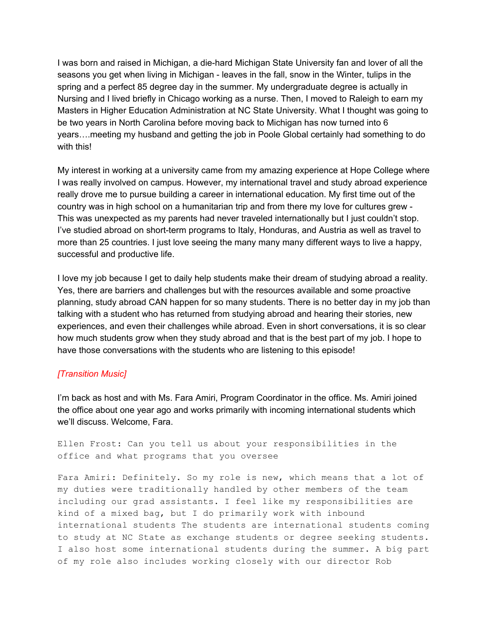I was born and raised in Michigan, a die-hard Michigan State University fan and lover of all the seasons you get when living in Michigan - leaves in the fall, snow in the Winter, tulips in the spring and a perfect 85 degree day in the summer. My undergraduate degree is actually in Nursing and I lived briefly in Chicago working as a nurse. Then, I moved to Raleigh to earn my Masters in Higher Education Administration at NC State University. What I thought was going to be two years in North Carolina before moving back to Michigan has now turned into 6 years….meeting my husband and getting the job in Poole Global certainly had something to do with this!

My interest in working at a university came from my amazing experience at Hope College where I was really involved on campus. However, my international travel and study abroad experience really drove me to pursue building a career in international education. My first time out of the country was in high school on a humanitarian trip and from there my love for cultures grew - This was unexpected as my parents had never traveled internationally but I just couldn't stop. I've studied abroad on short-term programs to Italy, Honduras, and Austria as well as travel to more than 25 countries. I just love seeing the many many many different ways to live a happy, successful and productive life.

I love my job because I get to daily help students make their dream of studying abroad a reality. Yes, there are barriers and challenges but with the resources available and some proactive planning, study abroad CAN happen for so many students. There is no better day in my job than talking with a student who has returned from studying abroad and hearing their stories, new experiences, and even their challenges while abroad. Even in short conversations, it is so clear how much students grow when they study abroad and that is the best part of my job. I hope to have those conversations with the students who are listening to this episode!

### *[Transition Music]*

I'm back as host and with Ms. Fara Amiri, Program Coordinator in the office. Ms. Amiri joined the office about one year ago and works primarily with incoming international students which we'll discuss. Welcome, Fara.

Ellen Frost: Can you tell us about your responsibilities in the office and what programs that you oversee

Fara Amiri: Definitely. So my role is new, which means that a lot of my duties were traditionally handled by other members of the team including our grad assistants. I feel like my responsibilities are kind of a mixed bag, but I do primarily work with inbound international students The students are international students coming to study at NC State as exchange students or degree seeking students. I also host some international students during the summer. A big part of my role also includes working closely with our director Rob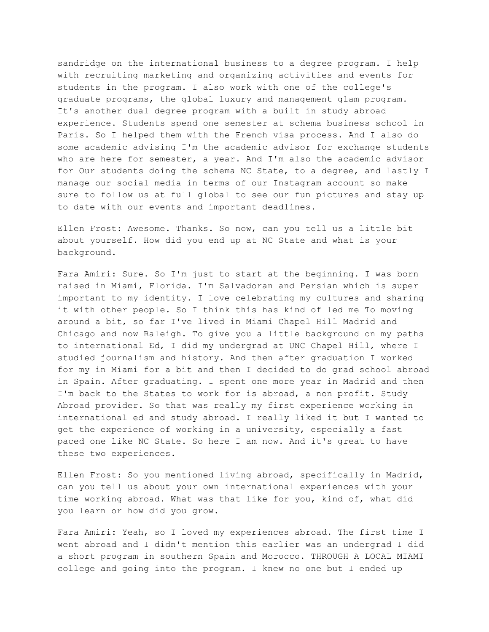sandridge on the international business to a degree program. I help with recruiting marketing and organizing activities and events for students in the program. I also work with one of the college's graduate programs, the global luxury and management glam program. It's another dual degree program with a built in study abroad experience. Students spend one semester at schema business school in Paris. So I helped them with the French visa process. And I also do some academic advising I'm the academic advisor for exchange students who are here for semester, a year. And I'm also the academic advisor for Our students doing the schema NC State, to a degree, and lastly I manage our social media in terms of our Instagram account so make sure to follow us at full global to see our fun pictures and stay up to date with our events and important deadlines.

Ellen Frost: Awesome. Thanks. So now, can you tell us a little bit about yourself. How did you end up at NC State and what is your background.

Fara Amiri: Sure. So I'm just to start at the beginning. I was born raised in Miami, Florida. I'm Salvadoran and Persian which is super important to my identity. I love celebrating my cultures and sharing it with other people. So I think this has kind of led me To moving around a bit, so far I've lived in Miami Chapel Hill Madrid and Chicago and now Raleigh. To give you a little background on my paths to international Ed, I did my undergrad at UNC Chapel Hill, where I studied journalism and history. And then after graduation I worked for my in Miami for a bit and then I decided to do grad school abroad in Spain. After graduating. I spent one more year in Madrid and then I'm back to the States to work for is abroad, a non profit. Study Abroad provider. So that was really my first experience working in international ed and study abroad. I really liked it but I wanted to get the experience of working in a university, especially a fast paced one like NC State. So here I am now. And it's great to have these two experiences.

Ellen Frost: So you mentioned living abroad, specifically in Madrid, can you tell us about your own international experiences with your time working abroad. What was that like for you, kind of, what did you learn or how did you grow.

Fara Amiri: Yeah, so I loved my experiences abroad. The first time I went abroad and I didn't mention this earlier was an undergrad I did a short program in southern Spain and Morocco. THROUGH A LOCAL MIAMI college and going into the program. I knew no one but I ended up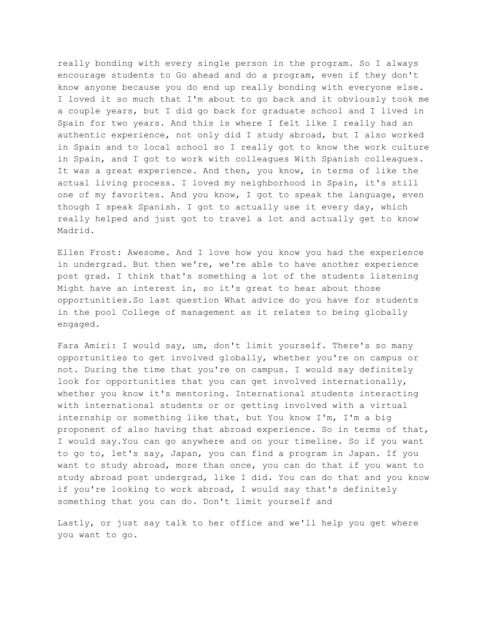really bonding with every single person in the program. So I always encourage students to Go ahead and do a program, even if they don't know anyone because you do end up really bonding with everyone else. I loved it so much that I'm about to go back and it obviously took me a couple years, but I did go back for graduate school and I lived in Spain for two years. And this is where I felt like I really had an authentic experience, not only did I study abroad, but I also worked in Spain and to local school so I really got to know the work culture in Spain, and I got to work with colleagues With Spanish colleagues. It was a great experience. And then, you know, in terms of like the actual living process. I loved my neighborhood in Spain, it's still one of my favorites. And you know, I got to speak the language, even though I speak Spanish. I got to actually use it every day, which really helped and just got to travel a lot and actually get to know Madrid.

Ellen Frost: Awesome. And I love how you know you had the experience in undergrad. But then we're, we're able to have another experience post grad. I think that's something a lot of the students listening Might have an interest in, so it's great to hear about those opportunities.So last question What advice do you have for students in the pool College of management as it relates to being globally engaged.

Fara Amiri: I would say, um, don't limit yourself. There's so many opportunities to get involved globally, whether you're on campus or not. During the time that you're on campus. I would say definitely look for opportunities that you can get involved internationally, whether you know it's mentoring. International students interacting with international students or or getting involved with a virtual internship or something like that, but You know I'm, I'm a big proponent of also having that abroad experience. So in terms of that, I would say.You can go anywhere and on your timeline. So if you want to go to, let's say, Japan, you can find a program in Japan. If you want to study abroad, more than once, you can do that if you want to study abroad post undergrad, like I did. You can do that and you know if you're looking to work abroad, I would say that's definitely something that you can do. Don't limit yourself and

Lastly, or just say talk to her office and we'll help you get where you want to go.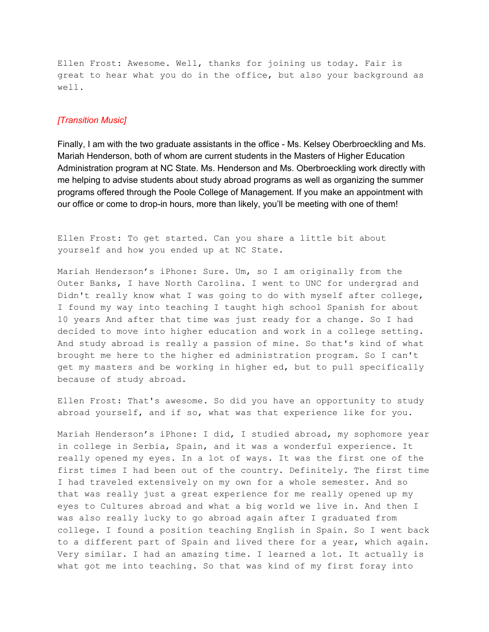Ellen Frost: Awesome. Well, thanks for joining us today. Fair is great to hear what you do in the office, but also your background as well.

### *[Transition Music]*

Finally, I am with the two graduate assistants in the office - Ms. Kelsey Oberbroeckling and Ms. Mariah Henderson, both of whom are current students in the Masters of Higher Education Administration program at NC State. Ms. Henderson and Ms. Oberbroeckling work directly with me helping to advise students about study abroad programs as well as organizing the summer programs offered through the Poole College of Management. If you make an appointment with our office or come to drop-in hours, more than likely, you'll be meeting with one of them!

Ellen Frost: To get started. Can you share a little bit about yourself and how you ended up at NC State.

Mariah Henderson's iPhone: Sure. Um, so I am originally from the Outer Banks, I have North Carolina. I went to UNC for undergrad and Didn't really know what I was going to do with myself after college, I found my way into teaching I taught high school Spanish for about 10 years And after that time was just ready for a change. So I had decided to move into higher education and work in a college setting. And study abroad is really a passion of mine. So that's kind of what brought me here to the higher ed administration program. So I can't get my masters and be working in higher ed, but to pull specifically because of study abroad.

Ellen Frost: That's awesome. So did you have an opportunity to study abroad yourself, and if so, what was that experience like for you.

Mariah Henderson's iPhone: I did, I studied abroad, my sophomore year in college in Serbia, Spain, and it was a wonderful experience. It really opened my eyes. In a lot of ways. It was the first one of the first times I had been out of the country. Definitely. The first time I had traveled extensively on my own for a whole semester. And so that was really just a great experience for me really opened up my eyes to Cultures abroad and what a big world we live in. And then I was also really lucky to go abroad again after I graduated from college. I found a position teaching English in Spain. So I went back to a different part of Spain and lived there for a year, which again. Very similar. I had an amazing time. I learned a lot. It actually is what got me into teaching. So that was kind of my first foray into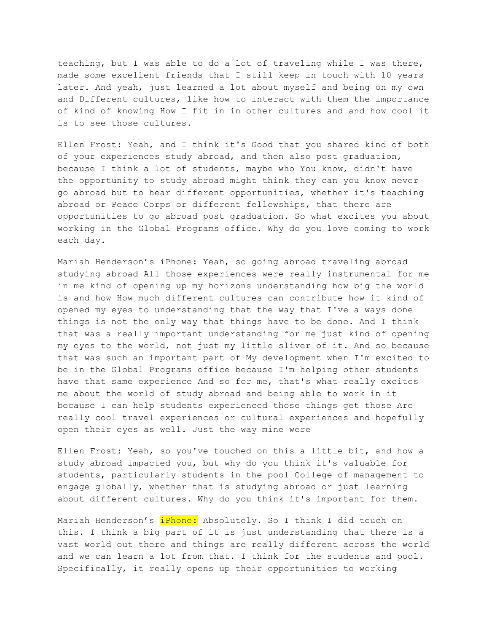teaching, but I was able to do a lot of traveling while I was there, made some excellent friends that I still keep in touch with 10 years later. And yeah, just learned a lot about myself and being on my own and Different cultures, like how to interact with them the importance of kind of knowing How I fit in in other cultures and and how cool it is to see those cultures.

Ellen Frost: Yeah, and I think it's Good that you shared kind of both of your experiences study abroad, and then also post graduation, because I think a lot of students, maybe who You know, didn't have the opportunity to study abroad might think they can you know never go abroad but to hear different opportunities, whether it's teaching abroad or Peace Corps or different fellowships, that there are opportunities to go abroad post graduation. So what excites you about working in the Global Programs office. Why do you love coming to work each day.

Mariah Henderson's iPhone: Yeah, so going abroad traveling abroad studying abroad All those experiences were really instrumental for me in me kind of opening up my horizons understanding how big the world is and how How much different cultures can contribute how it kind of opened my eyes to understanding that the way that I've always done things is not the only way that things have to be done. And I think that was a really important understanding for me just kind of opening my eyes to the world, not just my little sliver of it. And so because that was such an important part of My development when I'm excited to be in the Global Programs office because I'm helping other students have that same experience And so for me, that's what really excites me about the world of study abroad and being able to work in it because I can help students experienced those things get those Are really cool travel experiences or cultural experiences and hopefully open their eyes as well. Just the way mine were

Ellen Frost: Yeah, so you've touched on this a little bit, and how a study abroad impacted you, but why do you think it's valuable for students, particularly students in the pool College of management to engage globally, whether that is studying abroad or just learning about different cultures. Why do you think it's important for them.

Mariah Henderson's *iPhone:* Absolutely. So I think I did touch on this. I think a big part of it is just understanding that there is a vast world out there and things are really different across the world and we can learn a lot from that. I think for the students and pool. Specifically, it really opens up their opportunities to working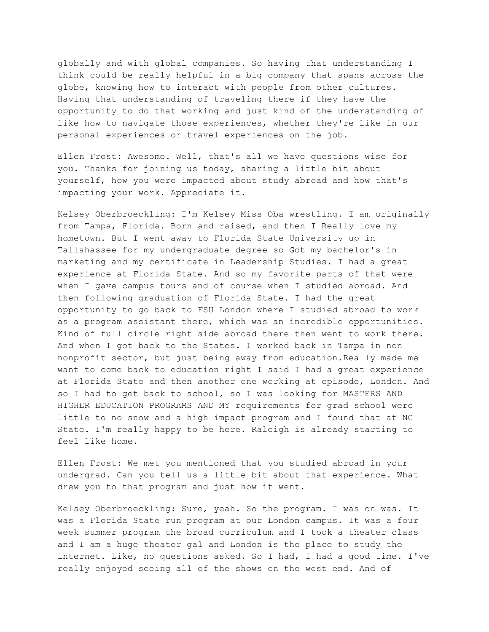globally and with global companies. So having that understanding I think could be really helpful in a big company that spans across the globe, knowing how to interact with people from other cultures. Having that understanding of traveling there if they have the opportunity to do that working and just kind of the understanding of like how to navigate those experiences, whether they're like in our personal experiences or travel experiences on the job.

Ellen Frost: Awesome. Well, that's all we have questions wise for you. Thanks for joining us today, sharing a little bit about yourself, how you were impacted about study abroad and how that's impacting your work. Appreciate it.

Kelsey Oberbroeckling: I'm Kelsey Miss Oba wrestling. I am originally from Tampa, Florida. Born and raised, and then I Really love my hometown. But I went away to Florida State University up in Tallahassee for my undergraduate degree so Got my bachelor's in marketing and my certificate in Leadership Studies. I had a great experience at Florida State. And so my favorite parts of that were when I gave campus tours and of course when I studied abroad. And then following graduation of Florida State. I had the great opportunity to go back to FSU London where I studied abroad to work as a program assistant there, which was an incredible opportunities. Kind of full circle right side abroad there then went to work there. And when I got back to the States. I worked back in Tampa in non nonprofit sector, but just being away from education.Really made me want to come back to education right I said I had a great experience at Florida State and then another one working at episode, London. And so I had to get back to school, so I was looking for MASTERS AND HIGHER EDUCATION PROGRAMS AND MY requirements for grad school were little to no snow and a high impact program and I found that at NC State. I'm really happy to be here. Raleigh is already starting to feel like home.

Ellen Frost: We met you mentioned that you studied abroad in your undergrad. Can you tell us a little bit about that experience. What drew you to that program and just how it went.

Kelsey Oberbroeckling: Sure, yeah. So the program. I was on was. It was a Florida State run program at our London campus. It was a four week summer program the broad curriculum and I took a theater class and I am a huge theater gal and London is the place to study the internet. Like, no questions asked. So I had, I had a good time. I've really enjoyed seeing all of the shows on the west end. And of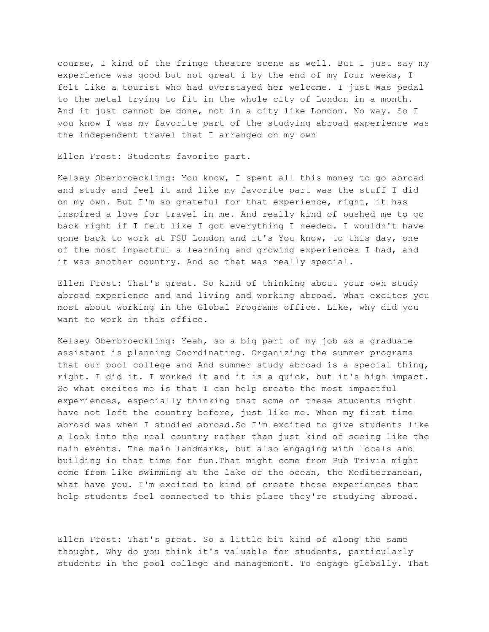course, I kind of the fringe theatre scene as well. But I just say my experience was good but not great i by the end of my four weeks, I felt like a tourist who had overstayed her welcome. I just Was pedal to the metal trying to fit in the whole city of London in a month. And it just cannot be done, not in a city like London. No way. So I you know I was my favorite part of the studying abroad experience was the independent travel that I arranged on my own

Ellen Frost: Students favorite part.

Kelsey Oberbroeckling: You know, I spent all this money to go abroad and study and feel it and like my favorite part was the stuff I did on my own. But I'm so grateful for that experience, right, it has inspired a love for travel in me. And really kind of pushed me to go back right if I felt like I got everything I needed. I wouldn't have gone back to work at FSU London and it's You know, to this day, one of the most impactful a learning and growing experiences I had, and it was another country. And so that was really special.

Ellen Frost: That's great. So kind of thinking about your own study abroad experience and and living and working abroad. What excites you most about working in the Global Programs office. Like, why did you want to work in this office.

Kelsey Oberbroeckling: Yeah, so a big part of my job as a graduate assistant is planning Coordinating. Organizing the summer programs that our pool college and And summer study abroad is a special thing, right. I did it. I worked it and it is a quick, but it's high impact. So what excites me is that I can help create the most impactful experiences, especially thinking that some of these students might have not left the country before, just like me. When my first time abroad was when I studied abroad.So I'm excited to give students like a look into the real country rather than just kind of seeing like the main events. The main landmarks, but also engaging with locals and building in that time for fun.That might come from Pub Trivia might come from like swimming at the lake or the ocean, the Mediterranean, what have you. I'm excited to kind of create those experiences that help students feel connected to this place they're studying abroad.

Ellen Frost: That's great. So a little bit kind of along the same thought, Why do you think it's valuable for students, particularly students in the pool college and management. To engage globally. That